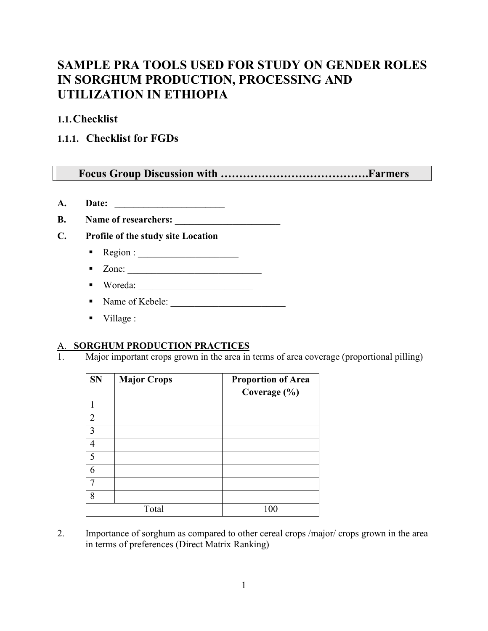# **SAMPLE PRA TOOLS USED FOR STUDY ON GENDER ROLES IN SORGHUM PRODUCTION, PROCESSING AND UTILIZATION IN ETHIOPIA**

**1.1.Checklist** 

## **1.1.1. Checklist for FGDs**

## **Focus Group Discussion with ………………………………….Farmers**

**A. Date: \_\_\_\_\_\_\_\_\_\_\_\_\_\_\_\_\_\_\_\_\_\_\_**

**B. Name of researchers: \_\_\_\_\_\_\_\_\_\_\_\_\_\_\_\_\_\_\_\_\_\_**

- **C. Profile of the study site Location**
	- Region : \_\_\_\_\_\_\_\_\_\_\_\_\_\_\_\_\_\_\_\_\_
	- Zone: \_\_\_\_\_\_\_\_\_\_\_\_\_\_\_\_\_\_\_\_\_\_\_\_\_\_\_\_
	- Woreda: \_\_\_\_\_\_\_\_\_\_\_\_\_\_\_\_\_\_\_\_\_\_\_\_
	- Name of Kebele:
	- $\blacksquare$  Village :

#### A. **SORGHUM PRODUCTION PRACTICES**

1. Major important crops grown in the area in terms of area coverage (proportional pilling)

| <b>SN</b>      | <b>Major Crops</b> | <b>Proportion of Area</b> |
|----------------|--------------------|---------------------------|
|                |                    | Coverage (%)              |
|                |                    |                           |
| $\overline{2}$ |                    |                           |
| 3              |                    |                           |
| $\overline{4}$ |                    |                           |
| 5              |                    |                           |
| 6              |                    |                           |
| 7              |                    |                           |
| 8              |                    |                           |
|                | Total              | 100                       |

2. Importance of sorghum as compared to other cereal crops /major/ crops grown in the area in terms of preferences (Direct Matrix Ranking)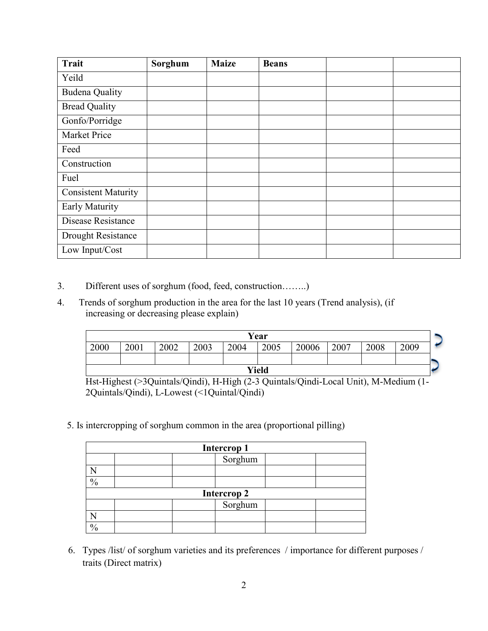| <b>Trait</b>               | Sorghum | <b>Maize</b> | <b>Beans</b> |  |
|----------------------------|---------|--------------|--------------|--|
| Yeild                      |         |              |              |  |
| <b>Budena Quality</b>      |         |              |              |  |
| <b>Bread Quality</b>       |         |              |              |  |
| Gonfo/Porridge             |         |              |              |  |
| <b>Market Price</b>        |         |              |              |  |
| Feed                       |         |              |              |  |
| Construction               |         |              |              |  |
| Fuel                       |         |              |              |  |
| <b>Consistent Maturity</b> |         |              |              |  |
| Early Maturity             |         |              |              |  |
| Disease Resistance         |         |              |              |  |
| Drought Resistance         |         |              |              |  |
| Low Input/Cost             |         |              |              |  |

- 3. Different uses of sorghum (food, feed, construction……..)
- 4. Trends of sorghum production in the area for the last 10 years (Trend analysis), (if increasing or decreasing please explain)

| Year  |      |      |      |      |      |       |      |      |      |  |
|-------|------|------|------|------|------|-------|------|------|------|--|
| 2000  | 2001 | 2002 | 2003 | 2004 | 2005 | 20006 | 2007 | 2008 | 2009 |  |
|       |      |      |      |      |      |       |      |      |      |  |
| Yield |      |      |      |      |      |       |      |      |      |  |

Hst-Highest (>3Quintals/Qindi), H-High (2-3 Quintals/Qindi-Local Unit), M-Medium (1- 2Quintals/Qindi), L-Lowest (<1Quintal/Qindi)

5. Is intercropping of sorghum common in the area (proportional pilling)

| <b>Intercrop 1</b> |                    |  |  |  |  |  |
|--------------------|--------------------|--|--|--|--|--|
|                    | Sorghum            |  |  |  |  |  |
|                    |                    |  |  |  |  |  |
| $\frac{0}{0}$      |                    |  |  |  |  |  |
|                    | <b>Intercrop 2</b> |  |  |  |  |  |
|                    | Sorghum            |  |  |  |  |  |
|                    |                    |  |  |  |  |  |
| 0/                 |                    |  |  |  |  |  |

6. Types /list/ of sorghum varieties and its preferences / importance for different purposes / traits (Direct matrix)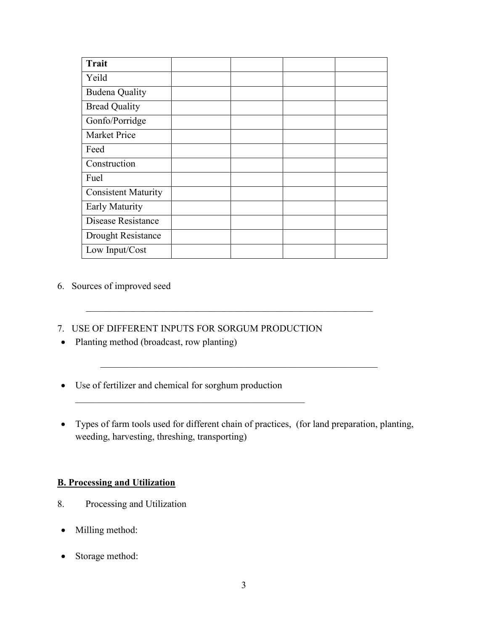| <b>Trait</b>               |  |  |
|----------------------------|--|--|
| Yeild                      |  |  |
| <b>Budena Quality</b>      |  |  |
| <b>Bread Quality</b>       |  |  |
| Gonfo/Porridge             |  |  |
| <b>Market Price</b>        |  |  |
| Feed                       |  |  |
| Construction               |  |  |
| Fuel                       |  |  |
| <b>Consistent Maturity</b> |  |  |
| Early Maturity             |  |  |
| Disease Resistance         |  |  |
| Drought Resistance         |  |  |
| Low Input/Cost             |  |  |

#### 6. Sources of improved seed

7. USE OF DIFFERENT INPUTS FOR SORGUM PRODUCTION

 $\mathcal{L}_\mathcal{L}$ 

- Planting method (broadcast, row planting)
- Use of fertilizer and chemical for sorghum production
- Types of farm tools used for different chain of practices, (for land preparation, planting, weeding, harvesting, threshing, transporting)

\_\_\_\_\_\_\_\_\_\_\_\_\_\_\_\_\_\_\_\_\_\_\_\_\_\_\_\_\_\_\_\_\_\_\_\_\_\_\_\_\_\_\_\_\_\_\_\_\_\_\_\_\_\_\_\_\_\_

#### **B. Processing and Utilization**

- 8. Processing and Utilization
- Milling method:
- Storage method: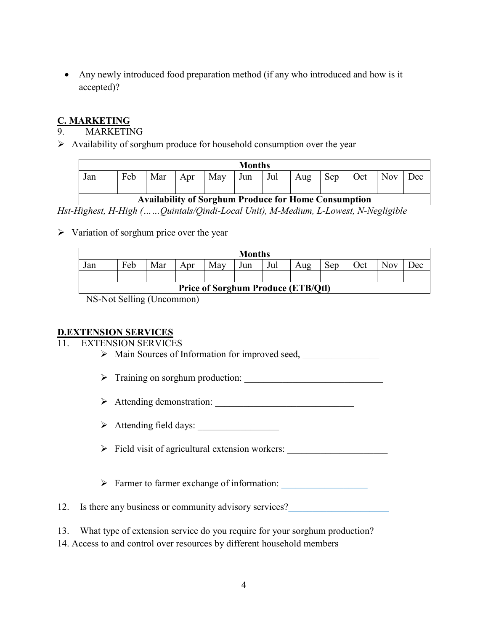• Any newly introduced food preparation method (if any who introduced and how is it accepted)?

#### **C. MARKETING**

**MARKETING** 

 $\triangleright$  Availability of sorghum produce for household consumption over the year

| <b>Months</b> |     |     |     |     |     |                     |     |     |     |     |     |
|---------------|-----|-----|-----|-----|-----|---------------------|-----|-----|-----|-----|-----|
| Jan           | Feb | Mar | Apr | May | Jun | $\mathbf{r}$<br>Jul | Aug | Sep | Oct | Nov | Dec |
|               |     |     |     |     |     |                     |     |     |     |     |     |

## **Availability of Sorghum Produce for Home Consumption**

*Hst-Highest, H-High (……Quintals/Qindi-Local Unit), M-Medium, L-Lowest, N-Negligible*

 $\triangleright$  Variation of sorghum price over the year

| <b>Months</b>                             |     |     |     |     |     |     |     |     |     |            |            |
|-------------------------------------------|-----|-----|-----|-----|-----|-----|-----|-----|-----|------------|------------|
| Jan                                       | Feb | Mar | Apr | May | Jun | Jul | Aug | Sep | Oct | <b>Nov</b> | <b>Jec</b> |
|                                           |     |     |     |     |     |     |     |     |     |            |            |
| <b>Price of Sorghum Produce (ETB/Qtl)</b> |     |     |     |     |     |     |     |     |     |            |            |

NS-Not Selling (Uncommon)

#### **D.EXTENSION SERVICES**

#### 11. EXTENSION SERVICES

- > Main Sources of Information for improved seed,
- $\triangleright$  Training on sorghum production:
- Attending demonstration: \_\_\_\_\_\_\_\_\_\_\_\_\_\_\_\_\_\_\_\_\_\_\_\_\_\_\_\_\_
- $\triangleright$  Attending field days:
- $\triangleright$  Field visit of agricultural extension workers:
- $\triangleright$  Farmer to farmer exchange of information:
- 12. Is there any business or community advisory services?
- 13. What type of extension service do you require for your sorghum production?
- 14. Access to and control over resources by different household members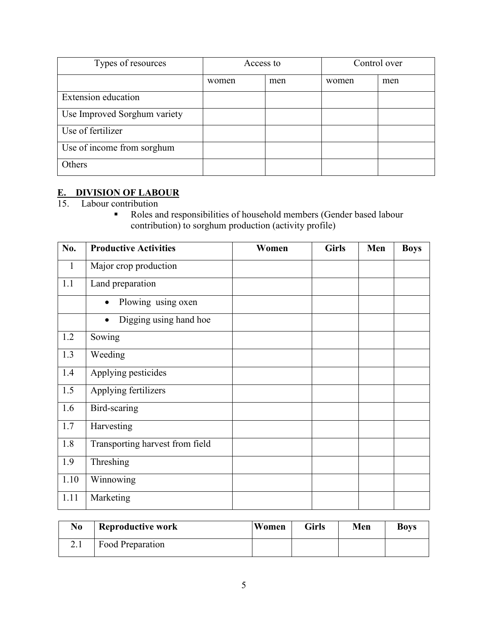| Types of resources           | Access to |     | Control over |     |
|------------------------------|-----------|-----|--------------|-----|
|                              | women     | men | women        | men |
| <b>Extension</b> education   |           |     |              |     |
| Use Improved Sorghum variety |           |     |              |     |
| Use of fertilizer            |           |     |              |     |
| Use of income from sorghum   |           |     |              |     |
| Others                       |           |     |              |     |

#### **E. DIVISION OF LABOUR**

15. Labour contribution

Roles and responsibilities of household members (Gender based labour contribution) to sorghum production (activity profile)

| No.          | <b>Productive Activities</b>    | Women | <b>Girls</b> | Men | <b>Boys</b> |
|--------------|---------------------------------|-------|--------------|-----|-------------|
| $\mathbf{1}$ | Major crop production           |       |              |     |             |
| 1.1          | Land preparation                |       |              |     |             |
|              | Plowing using oxen              |       |              |     |             |
|              | Digging using hand hoe          |       |              |     |             |
| 1.2          | Sowing                          |       |              |     |             |
| 1.3          | Weeding                         |       |              |     |             |
| 1.4          | Applying pesticides             |       |              |     |             |
| 1.5          | Applying fertilizers            |       |              |     |             |
| 1.6          | Bird-scaring                    |       |              |     |             |
| 1.7          | Harvesting                      |       |              |     |             |
| 1.8          | Transporting harvest from field |       |              |     |             |
| 1.9          | Threshing                       |       |              |     |             |
| 1.10         | Winnowing                       |       |              |     |             |
| 1.11         | Marketing                       |       |              |     |             |

| No   | <b>Reproductive work</b> | Women | <b>Girls</b> | Men | Boys |
|------|--------------------------|-------|--------------|-----|------|
| 2. l | Food Preparation         |       |              |     |      |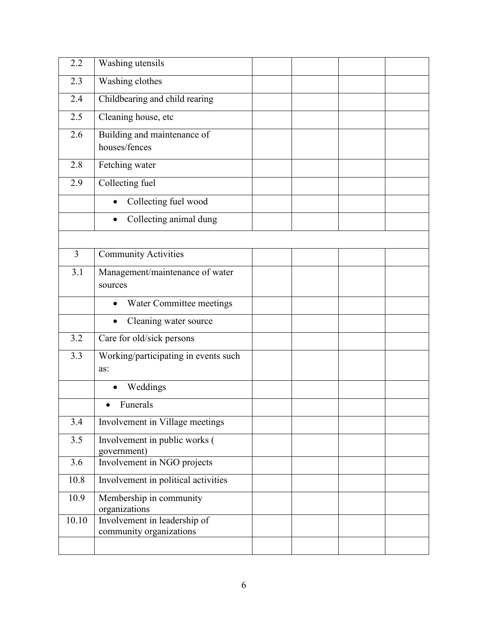| 2.2            | Washing utensils                                        |  |  |
|----------------|---------------------------------------------------------|--|--|
| 2.3            | <b>Washing clothes</b>                                  |  |  |
| 2.4            | Childbearing and child rearing                          |  |  |
| 2.5            | Cleaning house, etc                                     |  |  |
| 2.6            | Building and maintenance of                             |  |  |
|                | houses/fences                                           |  |  |
| 2.8            | Fetching water                                          |  |  |
| 2.9            | Collecting fuel                                         |  |  |
|                | Collecting fuel wood                                    |  |  |
|                | Collecting animal dung                                  |  |  |
|                |                                                         |  |  |
| $\overline{3}$ | <b>Community Activities</b>                             |  |  |
| 3.1            | Management/maintenance of water                         |  |  |
|                | sources                                                 |  |  |
|                | Water Committee meetings<br>$\bullet$                   |  |  |
|                | Cleaning water source                                   |  |  |
| 3.2            | Care for old/sick persons                               |  |  |
| 3.3            | Working/participating in events such                    |  |  |
|                | as:                                                     |  |  |
|                | Weddings                                                |  |  |
|                | Funerals                                                |  |  |
| 3.4            | Involvement in Village meetings                         |  |  |
| 3.5            | Involvement in public works (                           |  |  |
| 3.6            | government)<br>Involvement in NGO projects              |  |  |
| 10.8           | Involvement in political activities                     |  |  |
| 10.9           | Membership in community                                 |  |  |
|                | organizations                                           |  |  |
| 10.10          | Involvement in leadership of<br>community organizations |  |  |
|                |                                                         |  |  |
|                |                                                         |  |  |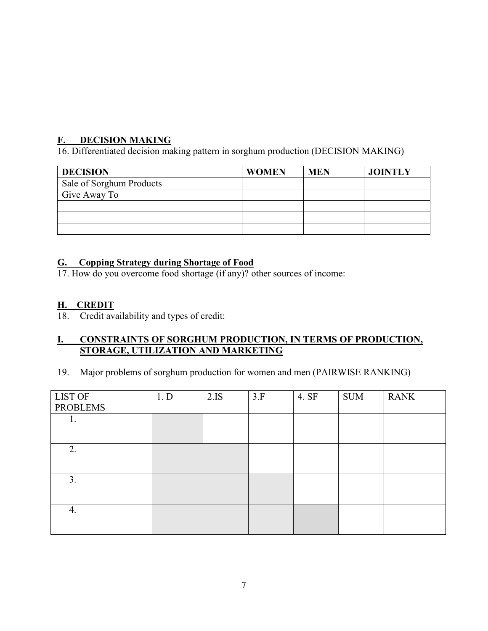## **F. DECISION MAKING**

16. Differentiated decision making pattern in sorghum production (DECISION MAKING)

| <b>DECISION</b>          | <b>WOMEN</b> | <b>MEN</b> | <b>JOINTLY</b> |
|--------------------------|--------------|------------|----------------|
| Sale of Sorghum Products |              |            |                |
| Give Away To             |              |            |                |
|                          |              |            |                |
|                          |              |            |                |
|                          |              |            |                |

## **G. Copping Strategy during Shortage of Food**

17. How do you overcome food shortage (if any)? other sources of income:

### **H. CREDIT**

18. Credit availability and types of credit:

#### **I. CONSTRAINTS OF SORGHUM PRODUCTION, IN TERMS OF PRODUCTION, STORAGE, UTILIZATION AND MARKETING**

19. Major problems of sorghum production for women and men (PAIRWISE RANKING)

| 2.IS | 3.F  | 4. SF | <b>SUM</b> | <b>RANK</b> |
|------|------|-------|------------|-------------|
|      |      |       |            |             |
|      |      |       |            |             |
|      |      |       |            |             |
|      |      |       |            |             |
|      |      |       |            |             |
|      |      |       |            |             |
|      |      |       |            |             |
|      |      |       |            |             |
|      |      |       |            |             |
|      | 1. D |       |            |             |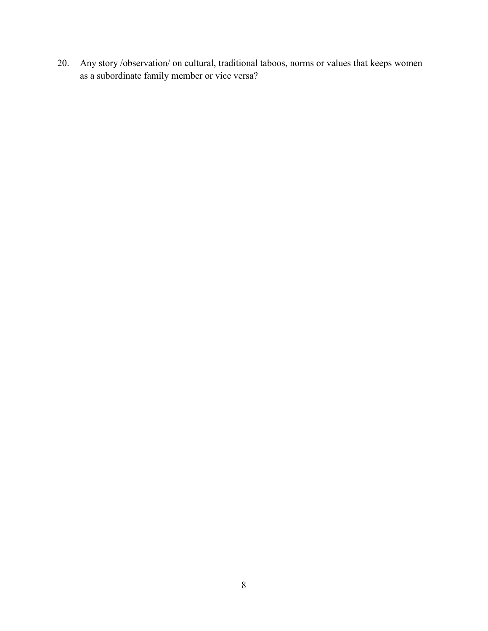20. Any story /observation/ on cultural, traditional taboos, norms or values that keeps women as a subordinate family member or vice versa?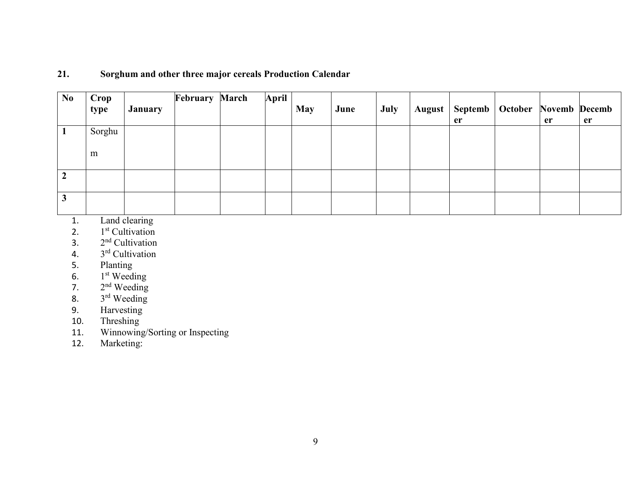#### **21. Sorghum and other three major cereals Production Calendar**

| N <sub>0</sub> | Crop<br>type | <b>January</b> | <b>February March</b> | April | <b>May</b> | June | July | August |    | Septemb   October Novemb Decemb |    |    |
|----------------|--------------|----------------|-----------------------|-------|------------|------|------|--------|----|---------------------------------|----|----|
|                |              |                |                       |       |            |      |      |        | er |                                 | er | er |
|                | Sorghu       |                |                       |       |            |      |      |        |    |                                 |    |    |
|                |              |                |                       |       |            |      |      |        |    |                                 |    |    |
|                | m            |                |                       |       |            |      |      |        |    |                                 |    |    |
|                |              |                |                       |       |            |      |      |        |    |                                 |    |    |
|                |              |                |                       |       |            |      |      |        |    |                                 |    |    |
| 3              |              |                |                       |       |            |      |      |        |    |                                 |    |    |

1. Land clearing<br>2.  $1<sup>st</sup>$  Cultivation

2.  $1<sup>st</sup>$  Cultivation<br>3.  $2<sup>nd</sup>$  Cultivation

- 3.  $2<sup>nd</sup>$  Cultivation<br>4.  $3<sup>rd</sup>$  Cultivation
- 4.  $3<sup>rd</sup>$  Cultivation<br>5. Planting
- Planting
- 6.  $1<sup>st</sup> Weeding$
- 7.  $2<sup>nd</sup> Weeding$
- 8. 3<sup>rd</sup> Weeding
- 9. Harvesting
- 10. Threshing
- 11. Winnowing/Sorting or Inspecting<br>12. Marketing:
- Marketing: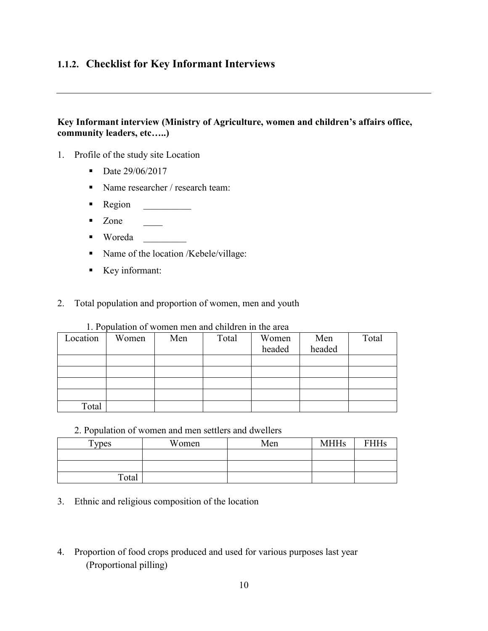## **1.1.2. Checklist for Key Informant Interviews**

#### **Key Informant interview (Ministry of Agriculture, women and children's affairs office, community leaders, etc…..)**

- 1. Profile of the study site Location
	- Date 29/06/2017
	- Name researcher / research team:
	- Region \_\_\_\_\_\_\_\_\_\_
	- $\blacksquare$  Zone  $\blacksquare$
	- Woreda \_\_\_\_\_\_\_\_\_
	- Name of the location /Kebele/village:
	- Key informant:
- 2. Total population and proportion of women, men and youth

| Location | Women | Men | Total | Women  | Men    | Total |
|----------|-------|-----|-------|--------|--------|-------|
|          |       |     |       | headed | headed |       |
|          |       |     |       |        |        |       |
|          |       |     |       |        |        |       |
|          |       |     |       |        |        |       |
|          |       |     |       |        |        |       |
| Total    |       |     |       |        |        |       |

1. Population of women men and children in the area

2. Population of women and men settlers and dwellers

| T <sub>Y</sub> pes | Women | Men | <b>MHHs</b> | FHHs |
|--------------------|-------|-----|-------------|------|
|                    |       |     |             |      |
|                    |       |     |             |      |
| Total              |       |     |             |      |

- 3. Ethnic and religious composition of the location
- 4. Proportion of food crops produced and used for various purposes last year (Proportional pilling)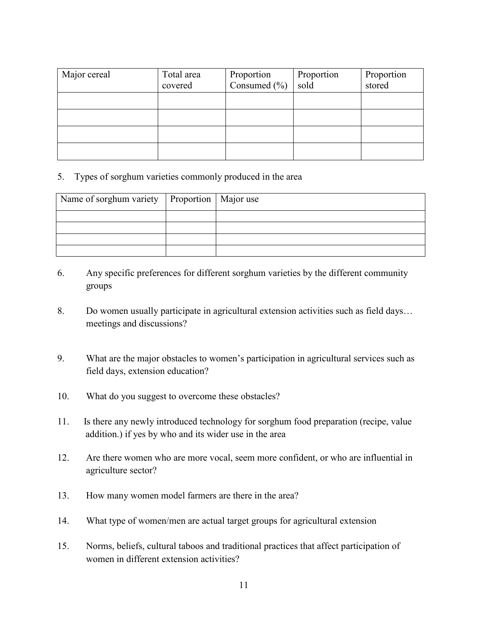| Major cereal | Total area<br>covered | Proportion<br>Consumed (%) | Proportion<br>sold | Proportion<br>stored |
|--------------|-----------------------|----------------------------|--------------------|----------------------|
|              |                       |                            |                    |                      |
|              |                       |                            |                    |                      |
|              |                       |                            |                    |                      |
|              |                       |                            |                    |                      |

#### 5. Types of sorghum varieties commonly produced in the area

| Name of sorghum variety   Proportion   Major use |  |
|--------------------------------------------------|--|
|                                                  |  |
|                                                  |  |
|                                                  |  |
|                                                  |  |

- 6. Any specific preferences for different sorghum varieties by the different community groups
- 8. Do women usually participate in agricultural extension activities such as field days… meetings and discussions?
- 9. What are the major obstacles to women's participation in agricultural services such as field days, extension education?
- 10. What do you suggest to overcome these obstacles?
- 11. Is there any newly introduced technology for sorghum food preparation (recipe, value addition.) if yes by who and its wider use in the area
- 12. Are there women who are more vocal, seem more confident, or who are influential in agriculture sector?
- 13. How many women model farmers are there in the area?
- 14. What type of women/men are actual target groups for agricultural extension
- 15. Norms, beliefs, cultural taboos and traditional practices that affect participation of women in different extension activities?